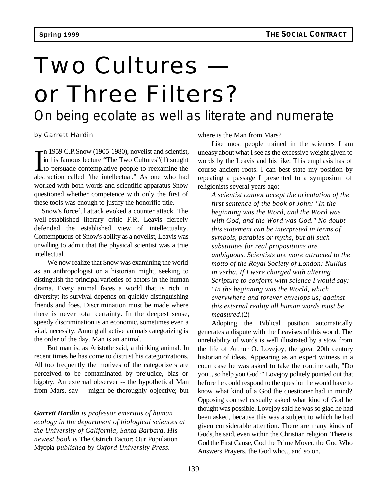# Two Cultures or Three Filters?

*On being ecolate as well as literate and numerate*

by Garrett Hardin

In 1959 C.P.Snow (1905-1980), novelist and scientist,<br>in his famous lecture "The Two Cultures"(1) sought<br>to persuade contemplative people to reexamine the<br>abstraction called "the intellectual". As one who had n 1959 C.P.Snow (1905-1980), novelist and scientist, in his famous lecture "The Two Cultures"(1) sought abstraction called "the intellectual." As one who had worked with both words and scientific apparatus Snow questioned whether competence with only the first of these tools was enough to justify the honorific title.

 Snow's forceful attack evoked a counter attack. The well-established literary critic F.R. Leavis fiercely defended the established view of intellectuality. Contemptuous of Snow's ability as a novelist, Leavis was unwilling to admit that the physical scientist was a true intellectual.

We now realize that Snow was examining the world as an anthropologist or a historian might, seeking to distinguish the principal varieties of actors in the human drama. Every animal faces a world that is rich in diversity; its survival depends on quickly distinguishing friends and foes. Discrimination must be made where there is never total certainty. In the deepest sense, speedy discrimination is an economic, sometimes even a vital, necessity. Among all active animals categorizing is the order of the day. Man is an animal.

But man is, as Aristotle said, a thinking animal. In recent times he has come to distrust his categorizations. All too frequently the motives of the categorizers are perceived to be contaminated by prejudice, bias or bigotry. An external observer -- the hypothetical Man from Mars, say -- might be thoroughly objective; but

*Garrett Hardin is professor emeritus of human ecology in the department of biological sciences at the University of California, Santa Barbara. His newest book is* The Ostrich Factor: Our Population Myopia *published by Oxford University Press.*

\_\_\_\_\_\_\_\_\_\_\_\_\_\_\_\_\_\_\_\_\_\_\_\_\_\_\_\_\_\_\_\_\_\_\_\_\_\_

where is the Man from Mars?

Like most people trained in the sciences I am uneasy about what I see as the excessive weight given to words by the Leavis and his like. This emphasis has of course ancient roots. I can best state my position by repeating a passage I presented to a symposium of religionists several years ago:

*A scientist cannot accept the orientation of the first sentence of the book of John: "In the beginning was the Word, and the Word was with God, and the Word was God." No doubt this statement can be interpreted in terms of symbols, parables or myths, but all such substitutes for real propositions are ambiguous. Scientists are more attracted to the motto of the Royal Society of London: Nullius in verba. If I were charged with altering Scripture to conform with science I would say: "In the beginning was the World, which everywhere and forever envelops us; against this external reality all human words must be measured*.(2)

Adopting the Biblical position automatically generates a dispute with the Leavises of this world. The unreliability of words is well illustrated by a stow from the life of Arthur O. Lovejoy, the great 20th century historian of ideas. Appearing as an expert witness in a court case he was asked to take the routine oath, "Do you.., so help you God?" Lovejoy politely pointed out that before he could respond to the question he would have to know what kind of a God the questioner had in mind? Opposing counsel casually asked what kind of God he thought was possible. Lovejoy said he was so glad he had been asked, because this was a subject to which he had given considerable attention. There are many kinds of Gods, he said, even within the Christian religion. There is God the First Cause, God the Prime Mover, the God Who Answers Prayers, the God who.., and so on.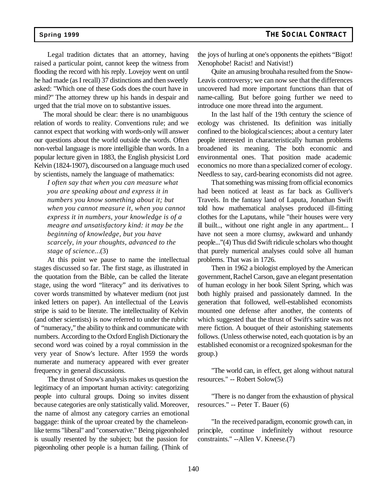Legal tradition dictates that an attorney, having raised a particular point, cannot keep the witness from flooding the record with his reply. Lovejoy went on until he had made (as I recall) 37 distinctions and then sweetly asked: "Which one of these Gods does the court have in mind?" The attorney threw up his hands in despair and urged that the trial move on to substantive issues.

 The moral should be clear: there is no unambiguous relation of words to reality. Conventions rule; and we cannot expect that working with words-only will answer our questions about the world outside the words. Often non-verbal language is more intelligible than words. In a popular lecture given in 1883, the English physicist Lord Kelvin (1824-1907), discoursed on a language much used by scientists, namely the language of mathematics:

*I often say that when you can measure what you are speaking about and express it in numbers you know something about it; but when you cannot measure it, when you cannot express it in numbers, your knowledge is of a meagre and unsatisfactory kind: it may be the beginning of knowledge, but you have scarcely, in your thoughts, advanced to the stage of science..*.(3)

At this point we pause to name the intellectual stages discussed so far. The first stage, as illustrated in the quotation from the Bible, can be called the literate stage, using the word "literacy" and its derivatives to cover words transmitted by whatever medium (not just inked letters on paper). An intellectual of the Leavis stripe is said to be literate. The intellectuality of Kelvin (and other scientists) is now referred to under the rubric of "numeracy," the ability to think and communicate with numbers. According to the Oxford English Dictionary the second word was coined by a royal commission in the very year of Snow's lecture. After 1959 the words numerate and numeracy appeared with ever greater frequency in general discussions.

The thrust of Snow's analysis makes us question the legitimacy of an important human activity: categorizing people into cultural groups. Doing so invites dissent because categories are only statistically valid. Moreover, the name of almost any category carries an emotional baggage: think of the uproar created by the chameleonlike terms "liberal" and "conservative." Being pigeonholed is usually resented by the subject; but the passion for pigeonholing other people is a human failing. (Think of

the joys of hurling at one's opponents the epithets "Bigot! Xenophobe! Racist! and Nativist!)

Quite an amusing brouhaha resulted from the Snow-Leavis controversy; we can now see that the differences uncovered had more important functions than that of name-calling. But before going further we need to introduce one more thread into the argument.

In the last half of the 19th century the science of ecology was christened. Its definition was initially confined to the biological sciences; about a century later people interested in characteristically human problems broadened its meaning. The both economic and environmental ones. That position made academic economics no more than a specialized corner of ecology. Needless to say, card-bearing economists did not agree.

That something was missing from official economics had been noticed at least as far back as Gulliver's Travels. In the fantasy land of Laputa, Jonathan Swift told how mathematical analyses produced ill-fitting clothes for the Laputans, while "their houses were very ill built.., without one right angle in any apartment... I have not seen a more clumsy, awkward and unhandy people..."(4) Thus did Swift ridicule scholars who thought that purely numerical analyses could solve all human problems. That was in 1726.

Then in 1962 a biologist employed by the American government, Rachel Carson, gave an elegant presentation of human ecology in her book Silent Spring, which was both highly praised and passionately damned. In the generation that followed, well-established economists mounted one defense after another, the contents of which suggested that the thrust of Swift's satire was not mere fiction. A bouquet of their astonishing statements follows. (Unless otherwise noted, each quotation is by an established economist or a recognized spokesman for the group.)

"The world can, in effect, get along without natural resources." -- Robert Solow(5)

"There is no danger from the exhaustion of physical resources." -- Peter T. Bauer (6)

"In the received paradigm, economic growth can, in principle, continue indefinitely without resource constraints." --Allen V. Kneese.(7)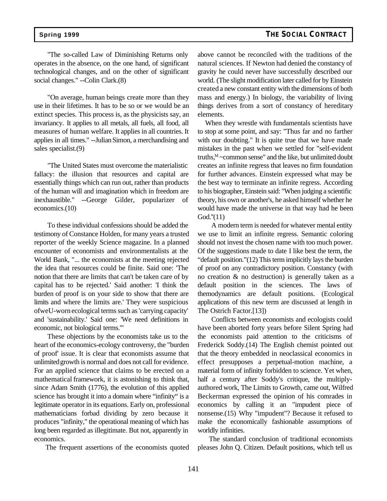"The so-called Law of Diminishing Returns only operates in the absence, on the one hand, of significant technological changes, and on the other of significant social changes." --Colin Clark.(8)

"On average, human beings create more than they use in their lifetimes. It has to be so or we would be an extinct species. This process is, as the physicists say, an invariancy. It applies to all metals, all fuels, all food, all measures of human welfare. It applies in all countries. It applies in all times." --Julian Simon, a merchandising and sales specialist.(9)

"The United States must overcome the materialistic fallacy: the illusion that resources and capital are essentially things which can run out, rather than products of the human will and imagination which in freedom are inexhaustible." --George Gilder, popularizer of economics.(10)

To these individual confessions should be added the testimony of Constance Holden, for many years a trusted reporter of the weekly Science magazine. In a planned encounter of economists and environmentalists at the World Bank, "... the economists at the meeting rejected the idea that resources could be finite. Said one: 'The notion that there are limits that can't be taken care of by capital has to be rejected.' Said another: 'I think the burden of proof is on your side to show that there are limits and where the limits are.' They were suspicious ofweU-worn ecological terms such as 'carrying capacity' and 'sustainability.' Said one: 'We need definitions in economic, not biological terms.'"

These objections by the economists take us to the heart of the economics-ecology controversy, the "burden of proof' issue. It is clear that economists assume that unlimited growth is normal and does not call for evidence. For an applied science that claims to be erected on a mathematical framework, it is astonishing to think that, since Adam Smith (1776), the evolution of this applied science has brought it into a domain where "infinity" is a legitimate operator in its equations. Early on, professional mathematicians forbad dividing by zero because it produces "infinity," the operational meaning of which has long been regarded as illegitimate. But not, apparently in economics.

The frequent assertions of the economists quoted

above cannot be reconciled with the traditions of the natural sciences. If Newton had denied the constancy of gravity he could never have successfully described our world. (The slight modification later called for by Einstein created a new constant entity with the dimensions of both mass and energy.) In biology, the variability of living things derives from a sort of constancy of hereditary elements.

 When they wrestle with fundamentals scientists have to stop at some point, and say: "Thus far and no farther with our doubting." It is quite true that we have made mistakes in the past when we settled for "self-evident truths, $M^{\infty}$  common sense" and the like, but unlimited doubt creates an infinite regress that leaves no firm foundation for further advances. Einstein expressed what may be the best way to terminate an infinite regress. According to his biographer, Einstein said: "When judging a scientific theory, his own or another's, he asked himself whether he would have made the universe in that way had he been God.''(11)

A modern term is needed for whatever mental entity we use to limit an infinite regress. Semantic coloring should not invest the chosen name with too much power. Of the suggestions made to date I like best the term, the "default position."(12) This term implicitly lays the burden of proof on any contradictory position. Constancy (with no creation & no destruction) is generally taken as a default position in the sciences. The laws of themodynamics are default positions. (Ecological applications of this new term are discussed at length in The Ostrich Factor.[13])

Conflicts between economists and ecologists could have been aborted forty years before Silent Spring had the economists paid attention to the criticisms of Frederick Soddy.(14) The English chemist pointed out that the theory embedded in neoclassical economics in effect presupposes a perpetual-motion machine, a material form of infinity forbidden to science. Yet when, half a century after Soddy's critique, the multiplyauthored work, The Limits to Growth, came out, Wilfred Beckerman expressed the opinion of his comrades in economics by calling it an "impudent piece of nonsense.(15) Why "impudent"? Because it refused to make the economically fashionable assumptions of worldly infinities.

 The standard conclusion of traditional economists pleases John Q. Citizen. Default positions, which tell us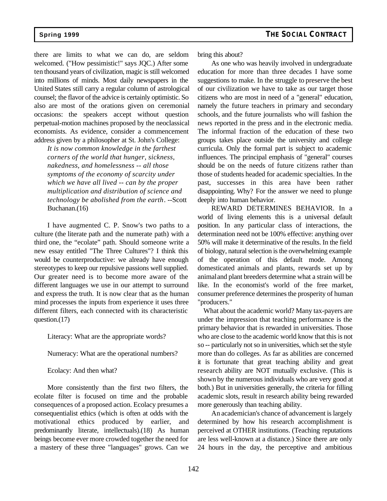there are limits to what we can do, are seldom welcomed. ("How pessimistic!" says JQC.) After some ten thousand years of civilization, magic is still welcomed into millions of minds. Most daily newspapers in the United States still carry a regular column of astrological counsel; the flavor of the advice is certainly optimistic. So also are most of the orations given on ceremonial occasions: the speakers accept without question perpetual-motion machines proposed by the neoclassical economists. As evidence, consider a commencement address given by a philosopher at St. John's College:

*It is now common knowledge in the farthest corners of the world that hunger, sickness, nakedness, and homelessness -- all those symptoms of the economy of scarcity under which we have all lived -- can by the proper multiplication and distribution of science and technology be abolished from the earth*. --Scott Buchanan.(16)

I have augmented C. P. Snow's two paths to a culture (the literate path and the numerate path) with a third one, the "ecolate" path. Should someone write a new essay entitled "The Three Cultures"? I think this would be counterproductive: we already have enough stereotypes to keep our repulsive passions well supplied. Our greater need is to become more aware of the different languages we use in our attempt to surround and express the truth. It is now clear that as the human mind processes the inputs from experience it uses three different filters, each connected with its characteristic question.(17)

Literacy: What are the appropriate words?

Numeracy: What are the operational numbers?

Ecolacy: And then what?

More consistently than the first two filters, the ecolate filter is focused on time and the probable consequences of a proposed action. Ecolacy presumes a consequentialist ethics (which is often at odds with the motivational ethics produced by earlier, and predominantly literate, intellectuals).(18) As human beings become ever more crowded together the need for a mastery of these three "languages" grows. Can we bring this about?

As one who was heavily involved in undergraduate education for more than three decades I have some suggestions to make. In the struggle to preserve the best of our civilization we have to take as our target those citizens who are most in need of a "general" education, namely the future teachers in primary and secondary schools, and the future journalists who will fashion the news reported in the press and in the electronic media. The informal fraction of the education of these two groups takes place outside the university and college curricula. Only the formal part is subject to academic influences. The principal emphasis of "general" courses should be on the needs of future citizens rather than those of students headed for academic specialties. In the past, successes in this area have been rather disappointing. Why? For the answer we need to plunge deeply into human behavior.

REWARD DETERMINES BEHAVIOR. In a world of living elements this is a universal default position. In any particular class of interactions, the determination need not be 100% effective: anything over 50% will make it determinative of the results. In the field of biology, natural selection is the overwhelming example of the operation of this default mode. Among domesticated animals and plants, rewards set up by animal and plant breeders determine what a strain will be like. In the economist's world of the free market, consumer preference determines the prosperity of human "producers."

 What about the academic world? Many tax-payers are under the impression that teaching performance is the primary behavior that is rewarded in universities. Those who are close to the academic world know that this is not so -- particularly not so in universities, which set the style more than do colleges. As far as abilities are concerned it is fortunate that great teaching ability and great research ability are NOT mutually exclusive. (This is shown by the numerous individuals who are very good at both.) But in universities generally, the criteria for filling academic slots, result in research ability being rewarded more generously than teaching ability.

An academician's chance of advancement is largely determined by how his research accomplishment is perceived at OTHER institutions. (Teaching reputations are less well-known at a distance.) Since there are only 24 hours in the day, the perceptive and ambitious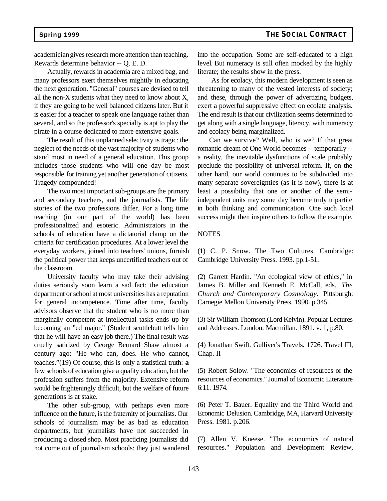academician gives research more attention than teaching. Rewards determine behavior -- Q. E. D.

Actually, rewards in academia are a mixed bag, and many professors exert themselves mightily in educating the next generation. "General" courses are devised to tell all the non-X students what they need to know about X, if they are going to be well balanced citizens later. But it is easier for a teacher to speak one language rather than several, and so the professor's specialty is apt to play the pirate in a course dedicated to more extensive goals.

The result of this unplanned selectivity is tragic: the neglect of the needs of the vast majority of students who stand most in need of a general education. This group includes those students who will one day be most responsible for training yet another generation of citizens. Tragedy compounded!

The two most important sub-groups are the primary and secondary teachers, and the journalists. The life stories of the two professions differ. For a long time teaching (in our part of the world) has been professionalized and esoteric. Administrators in the schools of education have a dictatorial clamp on the criteria for certification procedures. At a lower level the everyday workers, joined into teachers' unions, furnish the political power that keeps uncertified teachers out of the classroom.

University faculty who may take their advising duties seriously soon learn a sad fact: the education department or school at most universities has a reputation for general incompetence. Time after time, faculty advisors observe that the student who is no more than marginally competent at intellectual tasks ends up by becoming an "ed major." (Student scuttlebutt tells him that he will have an easy job there.) The final result was cruelly satirized by George Bernard Shaw almost a century ago: "He who can, does. He who cannot, teaches."(19) Of course, this is only a statistical truth: **a** few schools of education give a quality education, but the profession suffers from the majority. Extensive reform would be frighteningly difficult, but the welfare of future generations is at stake.

The other sub-group, with perhaps even more influence on the future, is the fraternity of journalists. Our schools of journalism may be as bad as education departments, but journalists have not succeeded in producing a closed shop. Most practicing journalists did not come out of journalism schools: they just wandered into the occupation. Some are self-educated to a high level. But numeracy is still often mocked by the highly literate; the results show in the press.

As for ecolacy, this modern development is seen as threatening to many of the vested interests of society; and these, through the power of advertizing budgets, exert a powerful suppressive effect on ecolate analysis. The end result is that our civilization seems determined to get along with a single language, literacy, with numeracy and ecolacy being marginalized.

 Can we survive? Well, who is we? If that great romantic dream of One World becomes -- temporarily - a reality, the inevitable dysfunctions of scale probably preclude the possibility of universal reform. If, on the other hand, our world continues to be subdivided into many separate sovereignties (as it is now), there is at least a possibility that one or another of the semiindependent units may some day become truly tripartite in both thinking and communication. One such local success might then inspire others to follow the example.

## **NOTES**

(1) C. P. Snow. The Two Cultures. Cambridge: Cambridge University Press. 1993. pp.1-51.

(2) Garrett Hardin. "An ecological view of ethics," in James B. Miller and Kenneth E. McCall, eds. *The Church and Contemporary Cosmology.* Pittsburgh: Carnegie Mellon University Press. 1990. p.345.

(3) Sir William Thomson (Lord Kelvin). Popular Lectures and Addresses. London: Macmillan. 1891. v. 1, p.80.

(4) Jonathan Swift. Gulliver's Travels. 1726. Travel III, Chap. II

(5) Robert Solow. "The economics of resources or the resources of economics." Journal of Economic Literature 6:11. 1974.

(6) Peter T. Bauer. Equality and the Third World and Economic Delusion. Cambridge, MA, Harvard University Press. 1981. p.206.

(7) Allen V. Kneese. "The economics of natural resources." Population and Development Review,